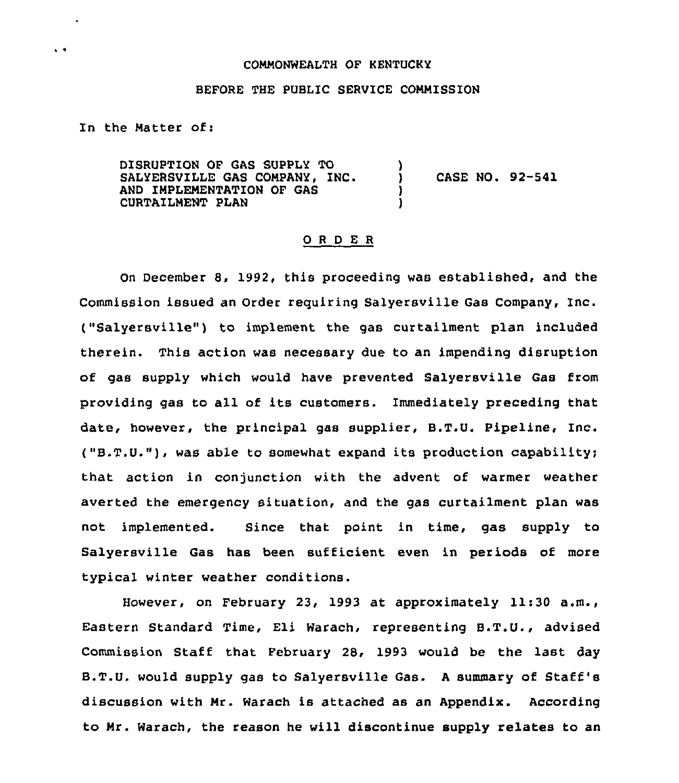## COMMONWEALTH OF KENTUCKY

## BEFORE THE PUBLIC SERVICE COMMISSION

In the Matter of:

 $\ddot{\phantom{1}}$ 

DISRUPTION OF GAS SUPPLY TO SALYERSVILLE GAS COMPANY, INC. AND IMPLEMENTATION OF GAS CURTAILMENT PLAN ) ) CASE NO. 92-941 ) )

## ORDER

On December 8. 1992, this proceeding was established, and the Commission issued an Order requiring Salyersville Gas Company, Inc. ("Salyersville") to implement the gas curtailment plan included therein. This action was necessary due to an impending disruption of gas supply which would have prevented Salyersville Gas from providing gas to all of its customers. Immediately preceding that date, however, the principal gas supplier, B.T.U. Pipeline, Inc. ("B.T.U."),was able to somewhat expand its production capability; that action in conjunction with the advent of warmer weather averted the emergency situation, and the gas curtailment plan was not implemented. Since that point in time, gas supply to Salyersville Gas has been sufficient even in periods of more typical winter weather conditions.

However, on February 23, 1993 at approximately 11:30 a.m., Eastern Standard Time, Eli Warach, representing B.T.U., advised Commission Staff that February 28, 1993 would be the last day B.T.U. would supply gas to Salyersville Gas. <sup>A</sup> summary of Staff's discussion with Mr. Warach is attached as an Appendix. According to Mr. Warach, the reason he will discontinue supply relates to an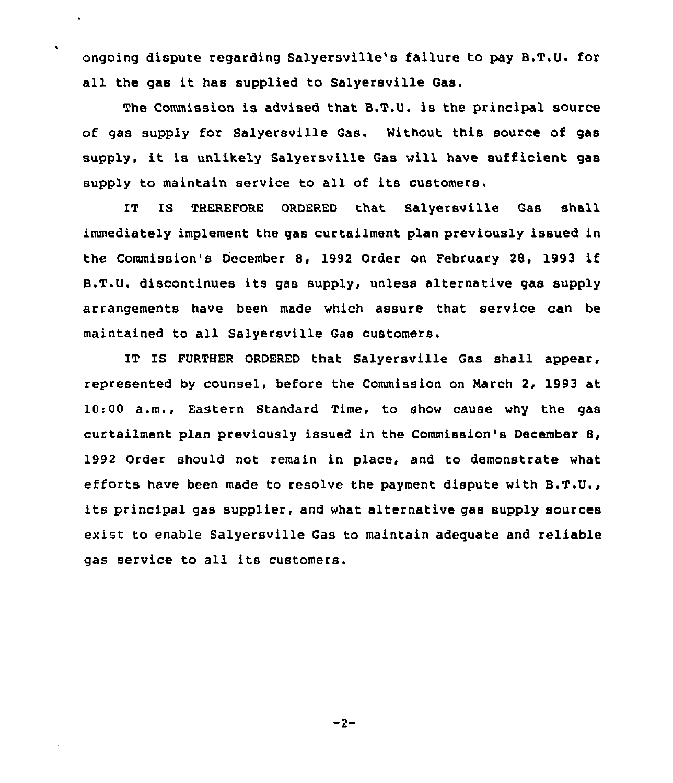ongoing dispute regarding Salyersville's failure to pay B.T.U. for all the gas it has supplied to Salyersville Gas.

 $\blacksquare$ 

The Commission is advised that B.T.U. is the principal source of gas supply for Salyersville Gas. Without this source of gas supply, it is unlikely Salyersville Gas will have sufficient gas supply to maintain service to all of its customers.

**TT** IS THEREFORE ORDERED that Salyersville Gas shall immediately implement the gas curtailment plan previously issued in the Commission's December 8, 1992 Order on February 28, 1993 if B.T.U. discontinues its gas supply, unless alternative gas supply arrangements have been made which assure that service can be maintained to all Salyersville Gas customers.

IT IS FURTHER ORDERED that Salyersville Gas shall appear, represented by counsel, before the Commission on March 2, 1993 at 10:00 a.m., Eastern Standard Time, to show cause why the gas curtailment plan previously issued in the Commission's December 8, 1992 Order should not remain in place, and to demonstrate what efforts have been made to resolve the payment dispute with B.T.U., its principal gas supplier, and what alternative gas supply sources exist to enable Salyersville Gas to maintain adequate and reliable gas service to all its customers.

 $-2-$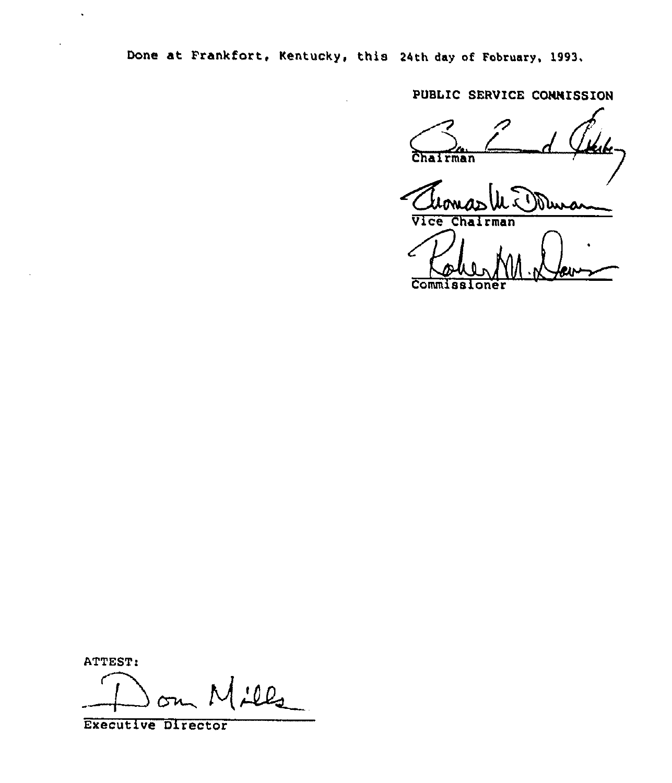Done at Frankfort, Kentucky, this 24th day of February, 1993.

PUBLIC SERVICE CONNISSION

Chairman Lik. Duro Vice Cha rman

Commissioner

ATTEST:

٢ <u>:ll,</u>

Executive Director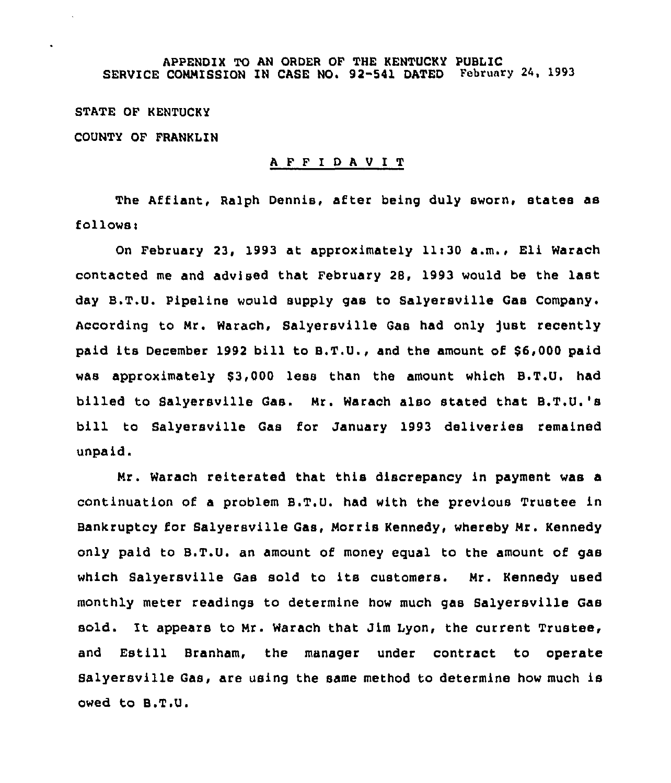STATE OF KENTUCKY COUNTY OF FRANKLIN

## <sup>A</sup> F F I <sup>D</sup> <sup>A</sup> <sup>V</sup> I T

The Affiant, Ralph Dennis, after being duly sworn, states as follows:

On February 23, 1993 at approximately llt30 a.m., Eli Warach contacted me and advised that February 28, 1993 would be the last day B.T.U. Pipeline would supply gas to Salyersville Gas Company. According to Nr. Warach, Salyersville Gas had only Just recently paid its December 1992 bill to B.T.U., and the amount of \$6,000 paid was approximately S3,000 less than the amount which B.T.U. had billed to Salyersville Gas. Mr. Warach also stated that B.T,U.'s bill to Salyersville Gas for January 1993 deliveries remained unpaid.

Mr. Warach reiterated that this discrepancy in payment was a continuation of a problem B.T.U. had with the previous Trustee in Banxruptcy for Salyersville Gas, Norris Kennedy, whereby Nr. Kennedy only paid to B.T.U. an amount of money equal to the amount of gas which Salyersville Gas sold to its customers. Mr. Kennedy used monthly meter readings to determine how much gas Salyersville Gas sold. It appears to Mr. Warach that Jim Lyon, the current Trustee, and Estill Branham, the manager under contract to operate Salyersville Gas, are using the same method to determine how much is owed to B.T.U.